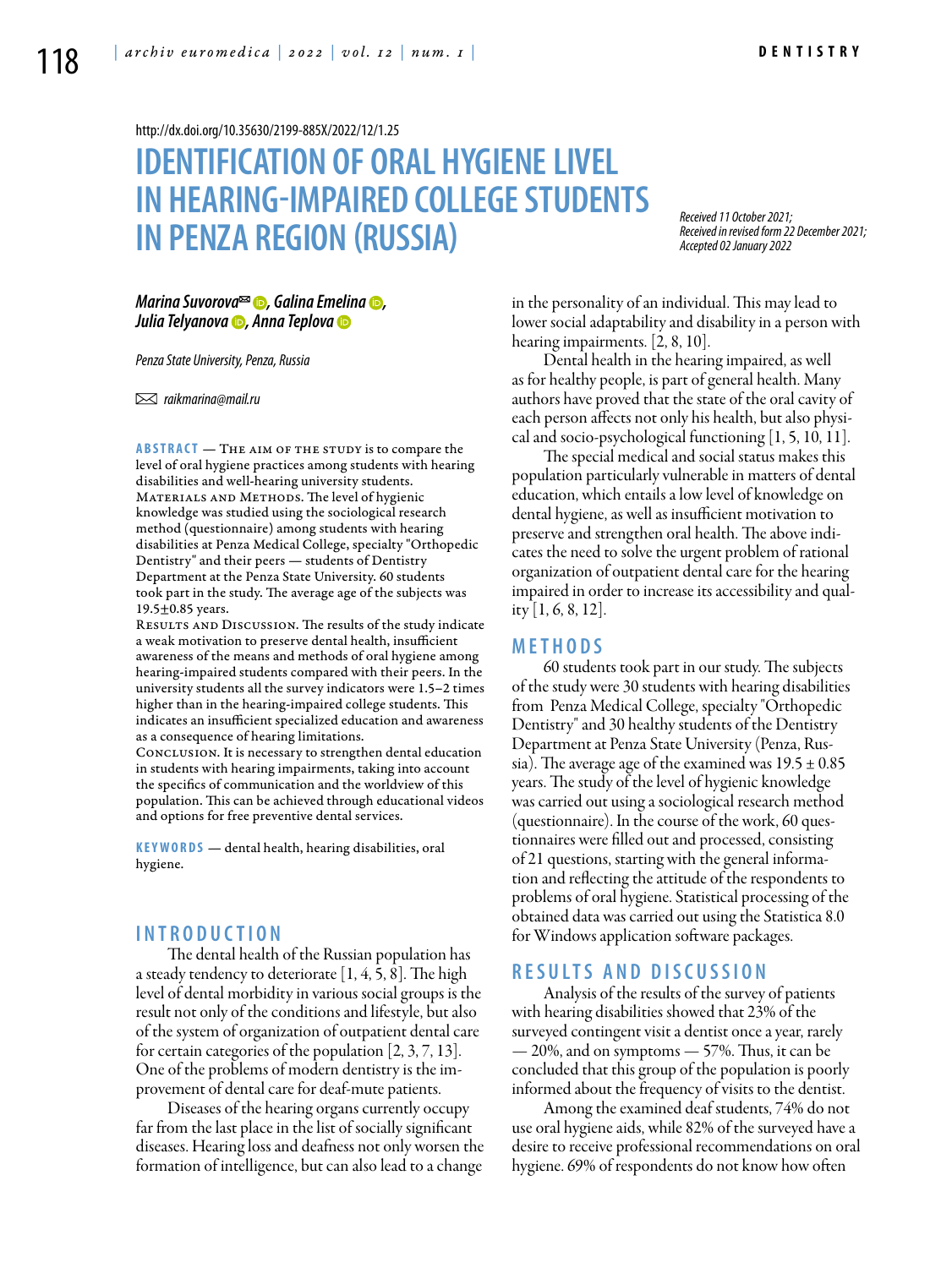<http://dx.doi.org/10.35630/2199-885X/2022/12/1.25>

# **IDENTIFICATION OF ORAL HYGIENELIVEL IN HEARING-IMPAIRED COLLEGE STUDENTS IN PENZA REGION (RUSSIA)**

*Received 11 October 2021; Received in revised form 22 December 2021; Accepted 02 January 2022*

*[Marina Suvorova](https://orcid.org/0000-0001-6315-9973)*<sup>∞</sup> **⊙**, [Galina Emelina](https://orcid.org/0000-0002-6085-5591) **⊙**, *[Julia Telyanova](https://orcid.org/0000-0002-1743-6850) , [Anna Teplova](https://orcid.org/0000-0002-5785-5515)*

*Penza State University, Penza, Russia* 

 *raikmarina@mail.ru* 

**ABSTRACT** — THE AIM OF THE STUDY is to compare the level of oral hygiene practices among students with hearing disabilities and well-hearing university students. MATERIALS AND METHODS. The level of hygienic knowledge was studied using the sociological research method (questionnaire) among students with hearing disabilities at Penza Medical College, specialty "Orthopedic Dentistry" and their peers — students of Dentistry Department at the Penza State University. 60 students took part in the study. The average age of the subjects was 19.5±0.85 years.

Results and Discussion. The results of the study indicate a weak motivation to preserve dental health, insufficient awareness of the means and methods of oral hygiene among hearing-impaired students compared with their peers. In the university students all the survey indicators were 1.5–2 times higher than in the hearing-impaired college students. This indicates an insufficient specialized education and awareness as a consequence of hearing limitations.

Conclusion. It is necessary to strengthen dental education in students with hearing impairments, taking into account the specifics of communication and the worldview of this population. This can be achieved through educational videos and options for free preventive dental services.

**KEYWORDS** — dental health, hearing disabilities, oral hygiene.

## **I n t r o d u ct i o n**

The dental health of the Russian population has a steady tendency to deteriorate  $[1, 4, 5, 8]$ . The high level of dental morbidity in various social groups is the result not only of the conditions and lifestyle, but also of the system of organization of outpatient dental care for certain categories of the population [2, 3, 7, 13]. One of the problems of modern dentistry is the improvement of dental care for deaf-mute patients.

Diseases of the hearing organs currently occupy far from the last place in the list of socially significant diseases. Hearing loss and deafness not only worsen the formation of intelligence, but can also lead to a change

in the personality of an individual. This may lead to lower social adaptability and disability in a person with hearing impairments. [2, 8, 10].

Dental health in the hearing impaired, as well as for healthy people, is part of general health. Many authors have proved that the state of the oral cavity of each person affects not only his health, but also physical and socio-psychological functioning [1, 5, 10, 11].

The special medical and social status makes this population particularly vulnerable in matters of dental education, which entails a low level of knowledge on dental hygiene, as well as insufficient motivation to preserve and strengthen oral health. The above indicates the need to solve the urgent problem of rational organization of outpatient dental care for the hearing impaired in order to increase its accessibility and quality [1, 6, 8, 12].

#### **Me t h o d s**

60 students took part in our study. The subjects of the study were 30 students with hearing disabilities from Penza Medical College, specialty "Orthopedic Dentistry" and 30 healthy students of the Dentistry Department at Penza State University (Penza, Russia). The average age of the examined was  $19.5 \pm 0.85$ years. The study of the level of hygienic knowledge was carried out using a sociological research method (questionnaire). In the course of the work, 60 questionnaires were filled out and processed, consisting of 21 questions, starting with the general information and reflecting the attitude of the respondents to problems of oral hygiene. Statistical processing of the obtained data was carried out using the Statistica 8.0 for Windows application software packages.

#### **R e s u l t s a n d D i sc u s s i o n**

Analysis of the results of the survey of patients with hearing disabilities showed that 23% of the surveyed contingent visit a dentist once a year, rarely — 20%, and on symptoms — 57%. Thus, it can be concluded that this group of the population is poorly informed about the frequency of visits to the dentist.

Among the examined deaf students, 74% do not use oral hygiene aids, while 82% of the surveyed have a desire to receive professional recommendations on oral hygiene. 69% of respondents do not know how often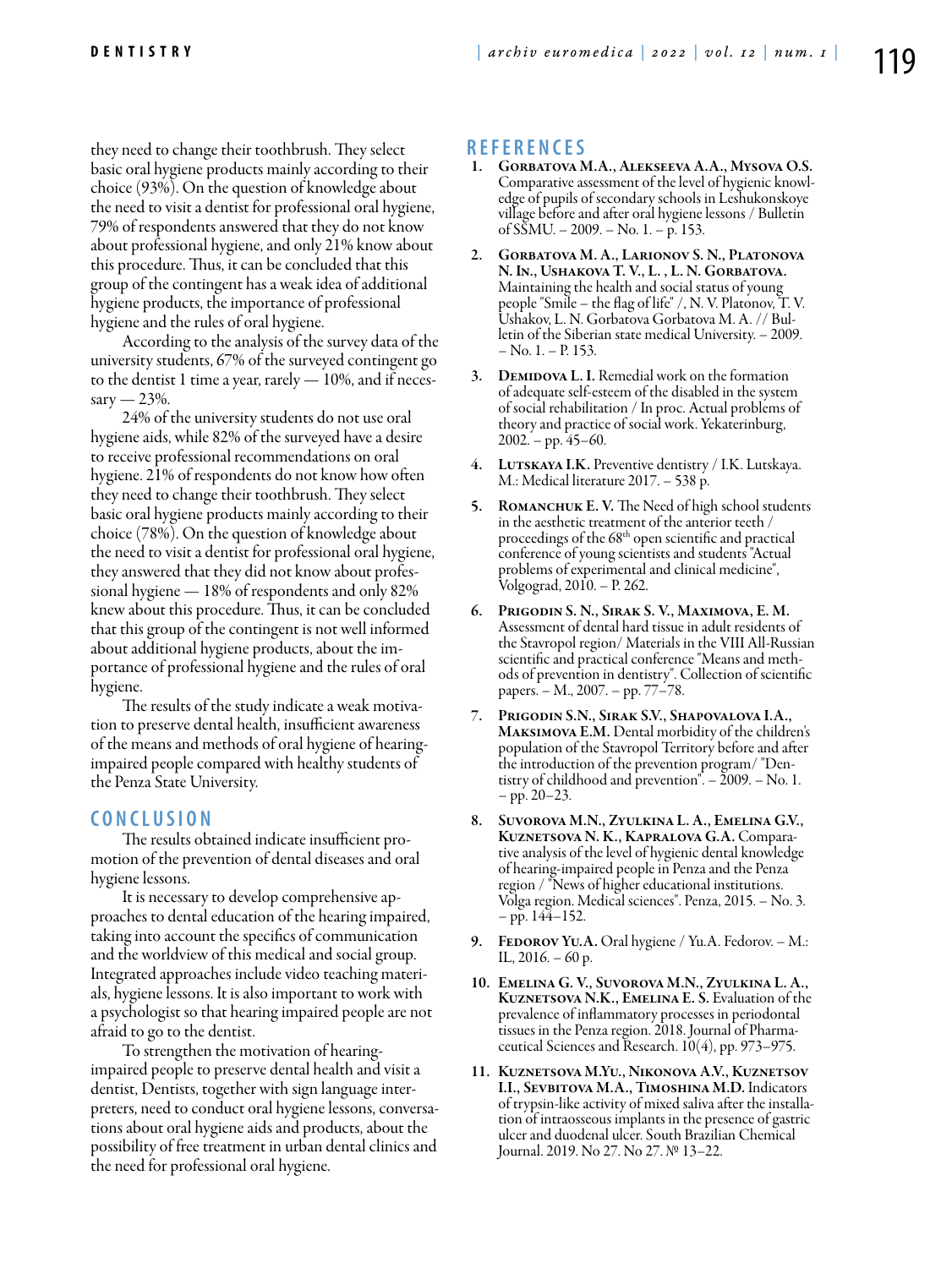they need to change their toothbrush. They select basic oral hygiene products mainly according to their choice (93%). On the question of knowledge about the need to visit a dentist for professional oral hygiene, 79% of respondents answered that they do not know about professional hygiene, and only 21% know about this procedure. Thus, it can be concluded that this group of the contingent has a weak idea of additional hygiene products, the importance of professional hygiene and the rules of oral hygiene.

According to the analysis of the survey data of the university students, 67% of the surveyed contingent go to the dentist 1 time a year, rarely — 10%, and if neces $sary = 23\%$ .

24% of the university students do not use oral hygiene aids, while 82% of the surveyed have a desire to receive professional recommendations on oral hygiene. 21% of respondents do not know how often they need to change their toothbrush. They select basic oral hygiene products mainly according to their choice (78%). On the question of knowledge about the need to visit a dentist for professional oral hygiene, they answered that they did not know about professional hygiene — 18% of respondents and only 82% knew about this procedure. Thus, it can be concluded that this group of the contingent is not well informed about additional hygiene products, about the importance of professional hygiene and the rules of oral hygiene.

The results of the study indicate a weak motivation to preserve dental health, insufficient awareness of the means and methods of oral hygiene of hearingimpaired people compared with healthy students of the Penza State University.

#### **C o n cl u s i o n**

The results obtained indicate insufficient promotion of the prevention of dental diseases and oral hygiene lessons.

It is necessary to develop comprehensive approaches to dental education of the hearing impaired, taking into account the specifics of communication and the worldview of this medical and social group. Integrated approaches include video teaching materials, hygiene lessons. It is also important to work with a psychologist so that hearing impaired people are not afraid to go to the dentist.

To strengthen the motivation of hearingimpaired people to preserve dental health and visit a dentist, Dentists, together with sign language interpreters, need to conduct oral hygiene lessons, conversations about oral hygiene aids and products, about the possibility of free treatment in urban dental clinics and the need for professional oral hygiene.

### **R e f e r e n ce s**

- 1. Gorbatova M.A., Alekseeva A.A., Mysova O.S. Comparative assessment of the level of hygienic knowledge of pupils of secondary schools in Leshukonskoye village before and after oral hygiene lessons / Bulletin of SSMU. – 2009. – No. 1. – p. 153.
- 2. Gorbatova M. A., Larionov S. N., Platonova N. In., Ushakova T. V., L. , L. N. Gorbatova. Maintaining the health and social status of young people "Smile – the flag of life" /, N. V. Platonov, T. V. Ushakov, L. N. Gorbatova Gorbatova M. A. // Bulletin of the Siberian state medical University. – 2009.  $-$  No. 1.  $-$  P. 153.
- 3. DEMIDOVA L. I. Remedial work on the formation of adequate self-esteem of the disabled in the system of social rehabilitation / In proc. Actual problems of theory and practice of social work. Yekaterinburg,  $2002. - pp. 45-60.$
- 4. LUTSKAYA I.K. Preventive dentistry / I.K. Lutskaya. M.: Medical literature 2017. – 538 p.
- 5. ROMANCHUK E. V. The Need of high school students in the aesthetic treatment of the anterior teeth / proceedings of the 68<sup>th</sup> open scientific and practical conference of young scientists and students "Actual problems of experimental and clinical medicine", Volgograd, 2010. – P. 262.
- 6. Prigodin S. N., Sirak S. V., Maximova, E. M. Assessment of dental hard tissue in adult residents of the Stavropol region/ Materials in the VIII All-Russian scientific and practical conference "Means and methods of prevention in dentistry". Collection of scientific papers. – M., 2007. – pp. 77–78.
- 7. Prigodin S.N., Sirak S.V., Shapovalova I.A., Maksimova E.M. Dental morbidity of the children's population of the Stavropol Territory before and after the introduction of the prevention program/ "Dentistry of childhood and prevention". – 2009. – No. 1. – pp. 20–23.
- 8. SUVOROVA M.N., ZYULKINA L. A., EMELINA G.V., KUZNETSOVA N. K., KAPRALOVA G.A. Comparative analysis of the level of hygienic dental knowledge of hearing-impaired people in Penza and the Penza region / "News of higher educational institutions. Volga region. Medical sciences". Penza, 2015. – No. 3.  $-$  pp. 144–152.
- 9. FEDOROV YU.A. Oral hygiene / Yu.A. Fedorov. M.: IL,  $2016. - 60$  p.
- 10. Emelina G. V., Suvorova M.N., Zyulkina L. A., KUZNETSOVA N.K., EMELINA E. S. Evaluation of the prevalence of inflammatory processes in periodontal tissues in the Penza region. 2018. Journal of Pharmaceutical Sciences and Research. 10(4), pp. 973–975.
- 11. Kuznetsova M.Yu., Nikonova A.V., Kuznetsov I.I., Sevbitova M.A., Timoshina M.D. Indicators of trypsin-like activity of mixed saliva after the installa- tion of intraosseous implants in the presence of gastric ulcer and duodenal ulcer. South Brazilian Chemical Journal. 2019. No 27. No 27. № 13–22.